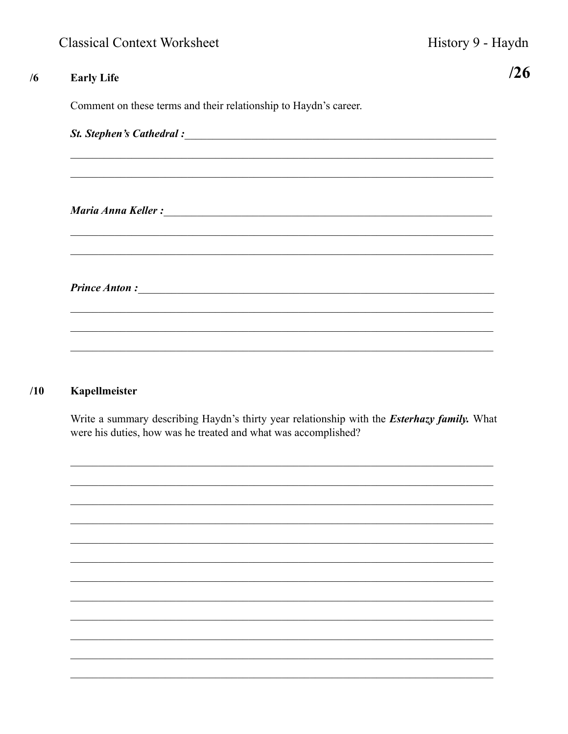$/26$ 

| <b>Early Life</b>                                                |
|------------------------------------------------------------------|
| Comment on these terms and their relationship to Haydn's career. |
|                                                                  |
|                                                                  |
|                                                                  |
|                                                                  |
|                                                                  |
|                                                                  |
|                                                                  |
|                                                                  |
|                                                                  |

## $/10$ Kapellmeister

Write a summary describing Haydn's thirty year relationship with the *Esterhazy family*. What were his duties, how was he treated and what was accomplished?